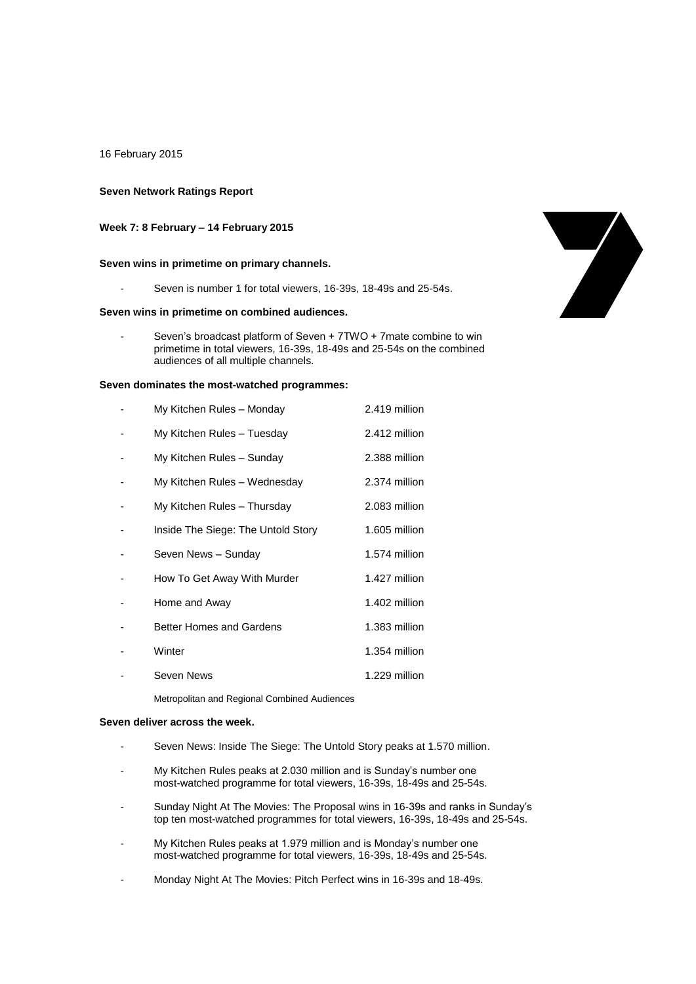16 February 2015

## **Seven Network Ratings Report**

## **Week 7: 8 February – 14 February 2015**

#### **Seven wins in primetime on primary channels.**

Seven is number 1 for total viewers, 16-39s, 18-49s and 25-54s.

## **Seven wins in primetime on combined audiences.**

Seven's broadcast platform of Seven + 7TWO + 7mate combine to win primetime in total viewers, 16-39s, 18-49s and 25-54s on the combined audiences of all multiple channels.

### **Seven dominates the most-watched programmes:**

| My Kitchen Rules - Monday          | 2.419 million |
|------------------------------------|---------------|
| My Kitchen Rules - Tuesday         | 2.412 million |
| My Kitchen Rules - Sunday          | 2.388 million |
| My Kitchen Rules - Wednesday       | 2.374 million |
| My Kitchen Rules - Thursday        | 2.083 million |
| Inside The Siege: The Untold Story | 1.605 million |
| Seven News - Sunday                | 1.574 million |
| How To Get Away With Murder        | 1.427 million |
| Home and Away                      | 1.402 million |
| Better Homes and Gardens           | 1.383 million |
| Winter                             | 1.354 million |
| Seven News                         | 1.229 million |

Metropolitan and Regional Combined Audiences

### **Seven deliver across the week.**

- Seven News: Inside The Siege: The Untold Story peaks at 1.570 million.
- My Kitchen Rules peaks at 2.030 million and is Sunday's number one most-watched programme for total viewers, 16-39s, 18-49s and 25-54s.
- Sunday Night At The Movies: The Proposal wins in 16-39s and ranks in Sunday's top ten most-watched programmes for total viewers, 16-39s, 18-49s and 25-54s.
- My Kitchen Rules peaks at 1.979 million and is Monday's number one most-watched programme for total viewers, 16-39s, 18-49s and 25-54s.
- Monday Night At The Movies: Pitch Perfect wins in 16-39s and 18-49s.

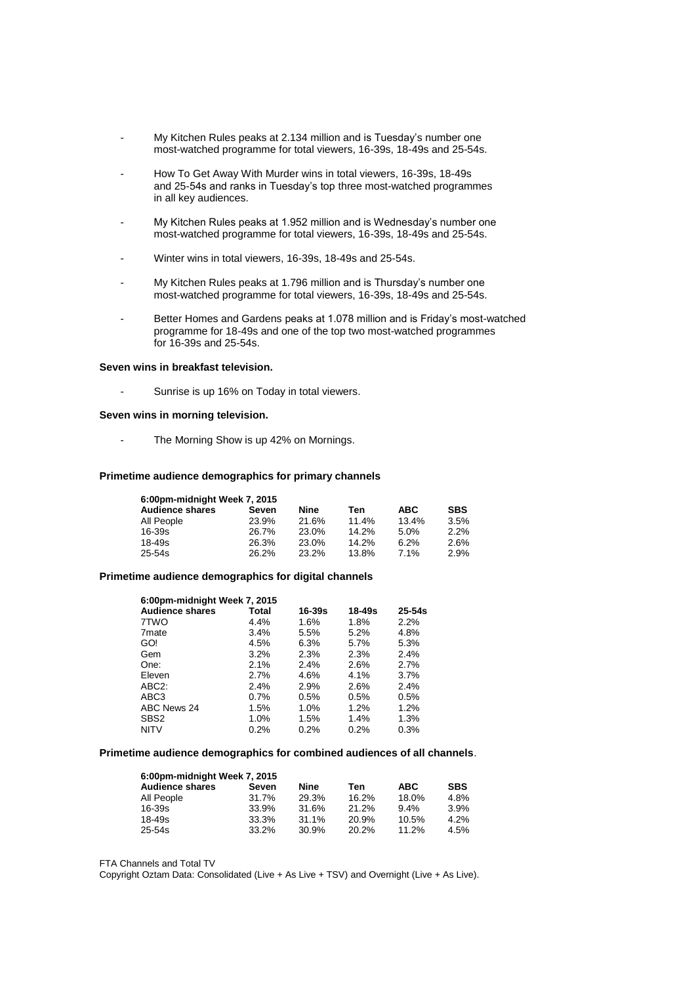- My Kitchen Rules peaks at 2.134 million and is Tuesday's number one most-watched programme for total viewers, 16-39s, 18-49s and 25-54s.
- How To Get Away With Murder wins in total viewers, 16-39s, 18-49s and 25-54s and ranks in Tuesday's top three most-watched programmes in all key audiences.
- My Kitchen Rules peaks at 1.952 million and is Wednesday's number one most-watched programme for total viewers, 16-39s, 18-49s and 25-54s.
- Winter wins in total viewers, 16-39s, 18-49s and 25-54s.
- My Kitchen Rules peaks at 1.796 million and is Thursday's number one most-watched programme for total viewers, 16-39s, 18-49s and 25-54s.
- Better Homes and Gardens peaks at 1.078 million and is Friday's most-watched programme for 18-49s and one of the top two most-watched programmes for 16-39s and 25-54s.

#### **Seven wins in breakfast television.**

Sunrise is up 16% on Today in total viewers.

#### **Seven wins in morning television.**

The Morning Show is up 42% on Mornings.

#### **Primetime audience demographics for primary channels**

| 6:00pm-midnight Week 7, 2015 |       |       |       |            |            |
|------------------------------|-------|-------|-------|------------|------------|
| <b>Audience shares</b>       | Seven | Nine  | Ten   | <b>ABC</b> | <b>SBS</b> |
| All People                   | 23.9% | 21.6% | 11.4% | 13.4%      | 3.5%       |
| 16-39s                       | 26.7% | 23.0% | 14.2% | 5.0%       | 2.2%       |
| 18-49s                       | 26.3% | 23.0% | 14.2% | 6.2%       | 2.6%       |
| 25-54s                       | 26.2% | 23.2% | 13.8% | 7.1%       | 2.9%       |

#### **Primetime audience demographics for digital channels**

| 6:00pm-midnight Week 7, 2015 |         |        |            |            |
|------------------------------|---------|--------|------------|------------|
| <b>Audience shares</b>       | Total   | 16-39s | $18 - 49s$ | $25 - 54s$ |
| 7TWO                         | 4.4%    | 1.6%   | 1.8%       | 2.2%       |
| 7 <sub>mate</sub>            | 3.4%    | 5.5%   | 5.2%       | 4.8%       |
| GO!                          | 4.5%    | 6.3%   | 5.7%       | 5.3%       |
| Gem                          | 3.2%    | 2.3%   | 2.3%       | 2.4%       |
| One:                         | 2.1%    | 2.4%   | 2.6%       | 2.7%       |
| Eleven                       | 2.7%    | 4.6%   | 4.1%       | 3.7%       |
| ABC <sub>2</sub> :           | 2.4%    | 2.9%   | 2.6%       | 2.4%       |
| ABC3                         | $0.7\%$ | 0.5%   | 0.5%       | 0.5%       |
| ABC News 24                  | 1.5%    | 1.0%   | 1.2%       | 1.2%       |
| SBS <sub>2</sub>             | 1.0%    | 1.5%   | 1.4%       | 1.3%       |
| <b>NITV</b>                  | 0.2%    | 0.2%   | 0.2%       | 0.3%       |

## **Primetime audience demographics for combined audiences of all channels**.

| 6:00pm-midnight Week 7, 2015 |       |       |       |            |            |  |
|------------------------------|-------|-------|-------|------------|------------|--|
| <b>Audience shares</b>       | Seven | Nine  | Ten   | <b>ABC</b> | <b>SBS</b> |  |
| All People                   | 31.7% | 29.3% | 16.2% | 18.0%      | 4.8%       |  |
| 16-39s                       | 33.9% | 31.6% | 21.2% | 9.4%       | 3.9%       |  |
| 18-49s                       | 33.3% | 31.1% | 20.9% | 10.5%      | 4.2%       |  |
| 25-54s                       | 33.2% | 30.9% | 20.2% | 11.2%      | 4.5%       |  |

FTA Channels and Total TV

Copyright Oztam Data: Consolidated (Live + As Live + TSV) and Overnight (Live + As Live).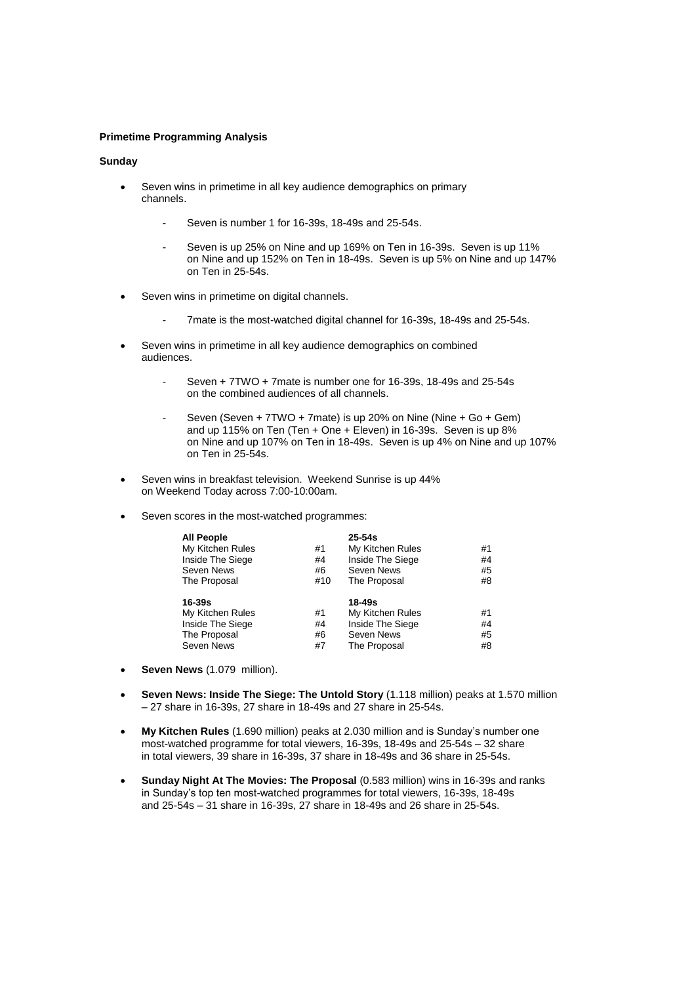## **Primetime Programming Analysis**

## **Sunday**

- Seven wins in primetime in all key audience demographics on primary channels.
	- Seven is number 1 for 16-39s, 18-49s and 25-54s.
	- Seven is up 25% on Nine and up 169% on Ten in 16-39s. Seven is up 11% on Nine and up 152% on Ten in 18-49s. Seven is up 5% on Nine and up 147% on Ten in 25-54s.
- Seven wins in primetime on digital channels.
	- 7mate is the most-watched digital channel for 16-39s, 18-49s and 25-54s.
- Seven wins in primetime in all key audience demographics on combined audiences.
	- Seven + 7TWO + 7mate is number one for 16-39s, 18-49s and 25-54s on the combined audiences of all channels.
	- Seven (Seven + 7TWO + 7mate) is up 20% on Nine (Nine + Go + Gem) and up 115% on Ten (Ten + One + Eleven) in 16-39s. Seven is up 8% on Nine and up 107% on Ten in 18-49s. Seven is up 4% on Nine and up 107% on Ten in 25-54s.
- Seven wins in breakfast television. Weekend Sunrise is up 44% on Weekend Today across 7:00-10:00am.
- Seven scores in the most-watched programmes:

| <b>All People</b><br>My Kitchen Rules<br>Inside The Siege<br>Seven News<br>The Proposal | #1<br>#4<br>#6<br>#10 | $25 - 54s$<br>My Kitchen Rules<br>Inside The Siege<br>Seven News<br>The Proposal | #1<br>#4<br>#5<br>#8 |
|-----------------------------------------------------------------------------------------|-----------------------|----------------------------------------------------------------------------------|----------------------|
| $16 - 39s$<br>My Kitchen Rules<br>Inside The Siege<br>The Proposal<br>Seven News        | #1<br>#4<br>#6<br>#7  | 18-49s<br>My Kitchen Rules<br>Inside The Siege<br>Seven News<br>The Proposal     | #1<br>#4<br>#5<br>#8 |

- **Seven News** (1.079 million).
- **Seven News: Inside The Siege: The Untold Story** (1.118 million) peaks at 1.570 million – 27 share in 16-39s, 27 share in 18-49s and 27 share in 25-54s.
- **My Kitchen Rules** (1.690 million) peaks at 2.030 million and is Sunday's number one most-watched programme for total viewers, 16-39s, 18-49s and 25-54s – 32 share in total viewers, 39 share in 16-39s, 37 share in 18-49s and 36 share in 25-54s.
- **Sunday Night At The Movies: The Proposal** (0.583 million) wins in 16-39s and ranks in Sunday's top ten most-watched programmes for total viewers, 16-39s, 18-49s and 25-54s – 31 share in 16-39s, 27 share in 18-49s and 26 share in 25-54s.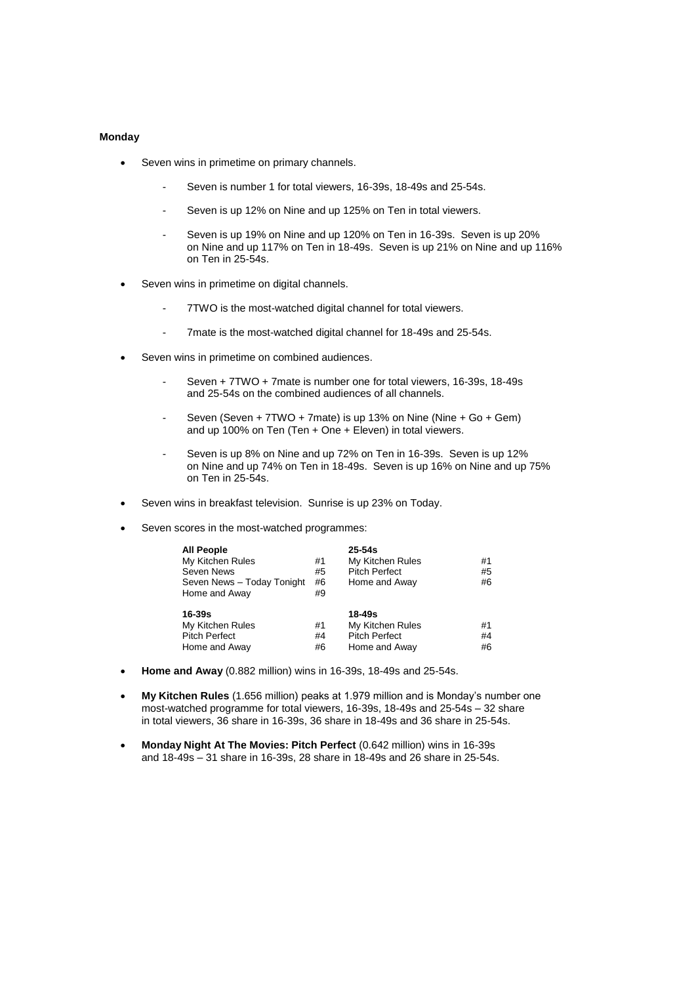## **Monday**

- Seven wins in primetime on primary channels.
	- Seven is number 1 for total viewers, 16-39s, 18-49s and 25-54s.
	- Seven is up 12% on Nine and up 125% on Ten in total viewers.
	- Seven is up 19% on Nine and up 120% on Ten in 16-39s. Seven is up 20% on Nine and up 117% on Ten in 18-49s. Seven is up 21% on Nine and up 116% on Ten in 25-54s.
- Seven wins in primetime on digital channels.
	- 7TWO is the most-watched digital channel for total viewers.
	- 7mate is the most-watched digital channel for 18-49s and 25-54s.
- Seven wins in primetime on combined audiences.
	- Seven + 7TWO + 7mate is number one for total viewers, 16-39s, 18-49s and 25-54s on the combined audiences of all channels.
	- Seven (Seven + 7TWO + 7mate) is up 13% on Nine (Nine + Go + Gem) and up 100% on Ten (Ten + One + Eleven) in total viewers.
	- Seven is up 8% on Nine and up 72% on Ten in 16-39s. Seven is up 12% on Nine and up 74% on Ten in 18-49s. Seven is up 16% on Nine and up 75% on Ten in 25-54s.
- Seven wins in breakfast television. Sunrise is up 23% on Today.
- Seven scores in the most-watched programmes:

| <b>All People</b>          |    | $25 - 54s$           |    |
|----------------------------|----|----------------------|----|
| My Kitchen Rules           | #1 | My Kitchen Rules     | #1 |
| Seven News                 | #5 | <b>Pitch Perfect</b> | #5 |
| Seven News - Today Tonight | #6 | Home and Away        | #6 |
| Home and Away              | #9 |                      |    |
| 16-39s                     |    | 18-49s               |    |
| My Kitchen Rules           | #1 | My Kitchen Rules     | #1 |
| <b>Pitch Perfect</b>       | #4 | <b>Pitch Perfect</b> | #4 |
| Home and Away              | #6 | Home and Away        | #6 |

- **Home and Away** (0.882 million) wins in 16-39s, 18-49s and 25-54s.
- **My Kitchen Rules** (1.656 million) peaks at 1.979 million and is Monday's number one most-watched programme for total viewers, 16-39s, 18-49s and 25-54s – 32 share in total viewers, 36 share in 16-39s, 36 share in 18-49s and 36 share in 25-54s.
- **Monday Night At The Movies: Pitch Perfect** (0.642 million) wins in 16-39s and 18-49s – 31 share in 16-39s, 28 share in 18-49s and 26 share in 25-54s.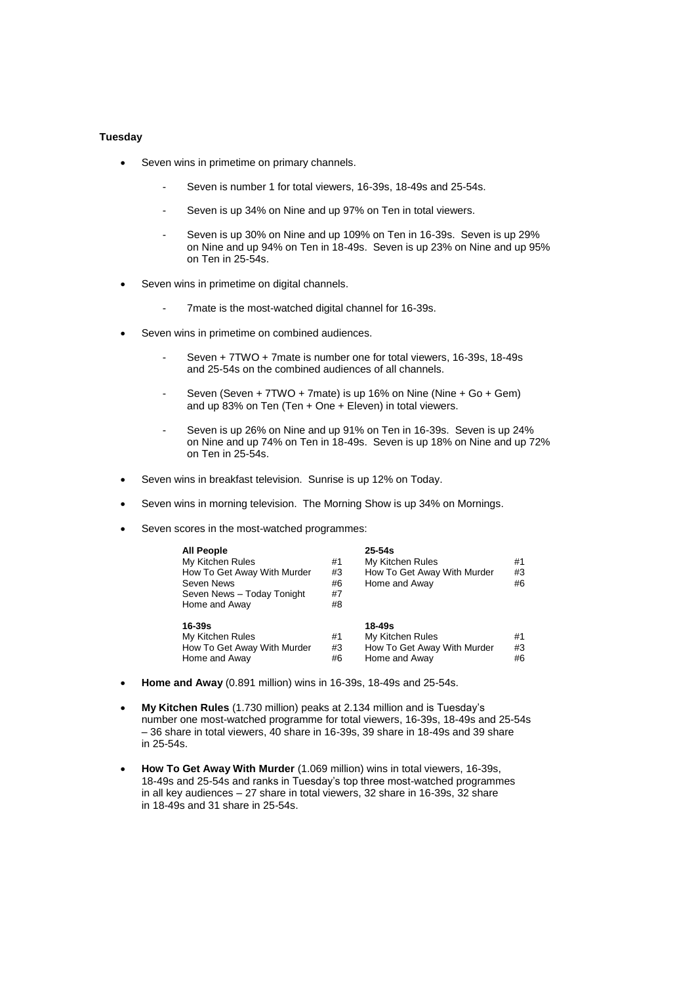## **Tuesday**

- Seven wins in primetime on primary channels.
	- Seven is number 1 for total viewers, 16-39s, 18-49s and 25-54s.
	- Seven is up 34% on Nine and up 97% on Ten in total viewers.
	- Seven is up 30% on Nine and up 109% on Ten in 16-39s. Seven is up 29% on Nine and up 94% on Ten in 18-49s. Seven is up 23% on Nine and up 95% on Ten in 25-54s.
- Seven wins in primetime on digital channels.
	- 7mate is the most-watched digital channel for 16-39s.
- Seven wins in primetime on combined audiences.
	- Seven + 7TWO + 7mate is number one for total viewers, 16-39s, 18-49s and 25-54s on the combined audiences of all channels.
	- Seven (Seven + 7TWO + 7mate) is up 16% on Nine (Nine + Go + Gem) and up 83% on Ten (Ten + One + Eleven) in total viewers.
	- Seven is up 26% on Nine and up 91% on Ten in 16-39s. Seven is up 24% on Nine and up 74% on Ten in 18-49s. Seven is up 18% on Nine and up 72% on Ten in 25-54s.
- Seven wins in breakfast television. Sunrise is up 12% on Today.
- Seven wins in morning television. The Morning Show is up 34% on Mornings.
- Seven scores in the most-watched programmes:

| <b>All People</b><br>My Kitchen Rules<br>How To Get Away With Murder<br>Seven News<br>Seven News - Today Tonight<br>Home and Away | #1<br>#3<br>#6<br>#7<br>#8 | $25 - 54s$<br>My Kitchen Rules<br>How To Get Away With Murder<br>Home and Away | #1<br>#3<br>#6 |
|-----------------------------------------------------------------------------------------------------------------------------------|----------------------------|--------------------------------------------------------------------------------|----------------|
| $16 - 39s$<br>My Kitchen Rules<br>How To Get Away With Murder<br>Home and Away                                                    | #1<br>#3<br>#6             | 18-49s<br>My Kitchen Rules<br>How To Get Away With Murder<br>Home and Away     | #1<br>#3<br>#6 |

- **Home and Away** (0.891 million) wins in 16-39s, 18-49s and 25-54s.
- **My Kitchen Rules** (1.730 million) peaks at 2.134 million and is Tuesday's number one most-watched programme for total viewers, 16-39s, 18-49s and 25-54s – 36 share in total viewers, 40 share in 16-39s, 39 share in 18-49s and 39 share in 25-54s.
- **How To Get Away With Murder** (1.069 million) wins in total viewers, 16-39s, 18-49s and 25-54s and ranks in Tuesday's top three most-watched programmes in all key audiences – 27 share in total viewers, 32 share in 16-39s, 32 share in 18-49s and 31 share in 25-54s.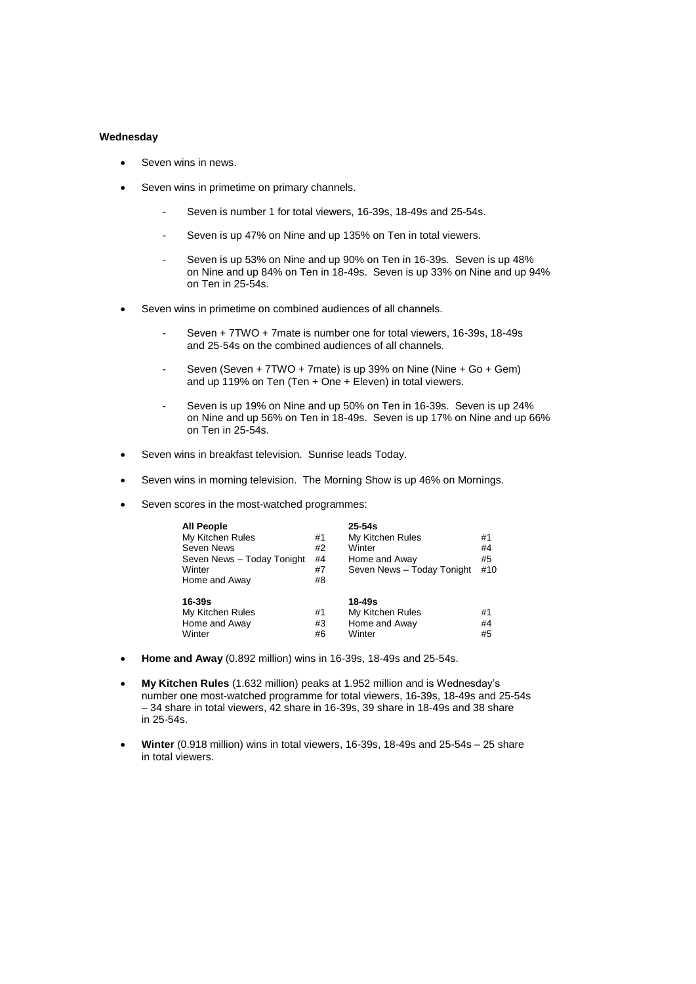## **Wednesday**

- Seven wins in news.
- Seven wins in primetime on primary channels.
	- Seven is number 1 for total viewers, 16-39s, 18-49s and 25-54s.
	- Seven is up 47% on Nine and up 135% on Ten in total viewers.
	- Seven is up 53% on Nine and up 90% on Ten in 16-39s. Seven is up 48% on Nine and up 84% on Ten in 18-49s. Seven is up 33% on Nine and up 94% on Ten in 25-54s.
- Seven wins in primetime on combined audiences of all channels.
	- Seven + 7TWO + 7mate is number one for total viewers, 16-39s, 18-49s and 25-54s on the combined audiences of all channels.
	- Seven (Seven + 7TWO + 7mate) is up 39% on Nine (Nine + Go + Gem) and up 119% on Ten (Ten + One + Eleven) in total viewers.
	- Seven is up 19% on Nine and up 50% on Ten in 16-39s. Seven is up 24% on Nine and up 56% on Ten in 18-49s. Seven is up 17% on Nine and up 66% on Ten in 25-54s.
- Seven wins in breakfast television. Sunrise leads Today.
- Seven wins in morning television. The Morning Show is up 46% on Mornings.
- Seven scores in the most-watched programmes:

| <b>All People</b>          |    | $25 - 54s$                 |     |
|----------------------------|----|----------------------------|-----|
| My Kitchen Rules           | #1 | My Kitchen Rules           | #1  |
| Seven News                 | #2 | Winter                     | #4  |
| Seven News - Today Tonight | #4 | Home and Away              | #5  |
| Winter                     | #7 | Seven News - Today Tonight | #10 |
| Home and Away              | #8 |                            |     |
| 16-39s                     |    | 18-49s                     |     |
| My Kitchen Rules           | #1 | My Kitchen Rules           | #1  |
| Home and Away              | #3 | Home and Away              | #4  |
| Winter                     | #6 | Winter                     | #5  |

- **Home and Away** (0.892 million) wins in 16-39s, 18-49s and 25-54s.
- **My Kitchen Rules** (1.632 million) peaks at 1.952 million and is Wednesday's number one most-watched programme for total viewers, 16-39s, 18-49s and 25-54s – 34 share in total viewers, 42 share in 16-39s, 39 share in 18-49s and 38 share in 25-54s.
- **Winter** (0.918 million) wins in total viewers, 16-39s, 18-49s and 25-54s 25 share in total viewers.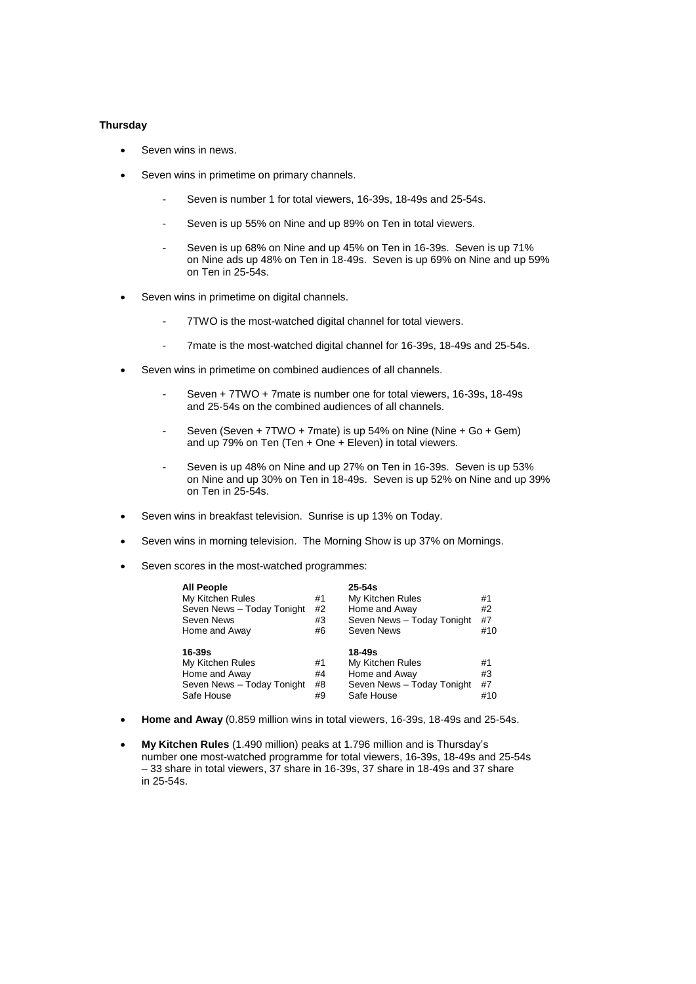### **Thursday**

- Seven wins in news.
- Seven wins in primetime on primary channels.
	- Seven is number 1 for total viewers, 16-39s, 18-49s and 25-54s.
	- Seven is up 55% on Nine and up 89% on Ten in total viewers.
	- Seven is up 68% on Nine and up 45% on Ten in 16-39s. Seven is up 71% on Nine ads up 48% on Ten in 18-49s. Seven is up 69% on Nine and up 59% on Ten in 25-54s.
- Seven wins in primetime on digital channels.
	- 7TWO is the most-watched digital channel for total viewers.
	- 7mate is the most-watched digital channel for 16-39s, 18-49s and 25-54s.
- Seven wins in primetime on combined audiences of all channels.
	- Seven + 7TWO + 7mate is number one for total viewers, 16-39s, 18-49s and 25-54s on the combined audiences of all channels.
	- Seven (Seven + 7TWO + 7mate) is up 54% on Nine (Nine + Go + Gem) and up 79% on Ten (Ten + One + Eleven) in total viewers.
	- Seven is up 48% on Nine and up 27% on Ten in 16-39s. Seven is up 53% on Nine and up 30% on Ten in 18-49s. Seven is up 52% on Nine and up 39% on Ten in 25-54s.
- Seven wins in breakfast television. Sunrise is up 13% on Today.
- Seven wins in morning television. The Morning Show is up 37% on Mornings.
- Seven scores in the most-watched programmes:

| <b>All People</b>          |    | $25 - 54s$                 |     |
|----------------------------|----|----------------------------|-----|
| My Kitchen Rules           | #1 | My Kitchen Rules           | #1  |
| Seven News - Today Tonight | #2 | Home and Away              | #2  |
| Seven News                 | #3 | Seven News - Today Tonight | #7  |
| Home and Away              | #6 | Seven News                 | #10 |
|                            |    |                            |     |
|                            |    |                            |     |
| 16-39s                     |    | 18-49s                     |     |
| My Kitchen Rules           | #1 | My Kitchen Rules           | #1  |
| Home and Away              | #4 | Home and Away              | #3  |
| Seven News - Today Tonight | #8 | Seven News - Today Tonight | #7  |

- **Home and Away** (0.859 million wins in total viewers, 16-39s, 18-49s and 25-54s.
- **My Kitchen Rules** (1.490 million) peaks at 1.796 million and is Thursday's number one most-watched programme for total viewers, 16-39s, 18-49s and 25-54s – 33 share in total viewers, 37 share in 16-39s, 37 share in 18-49s and 37 share in 25-54s.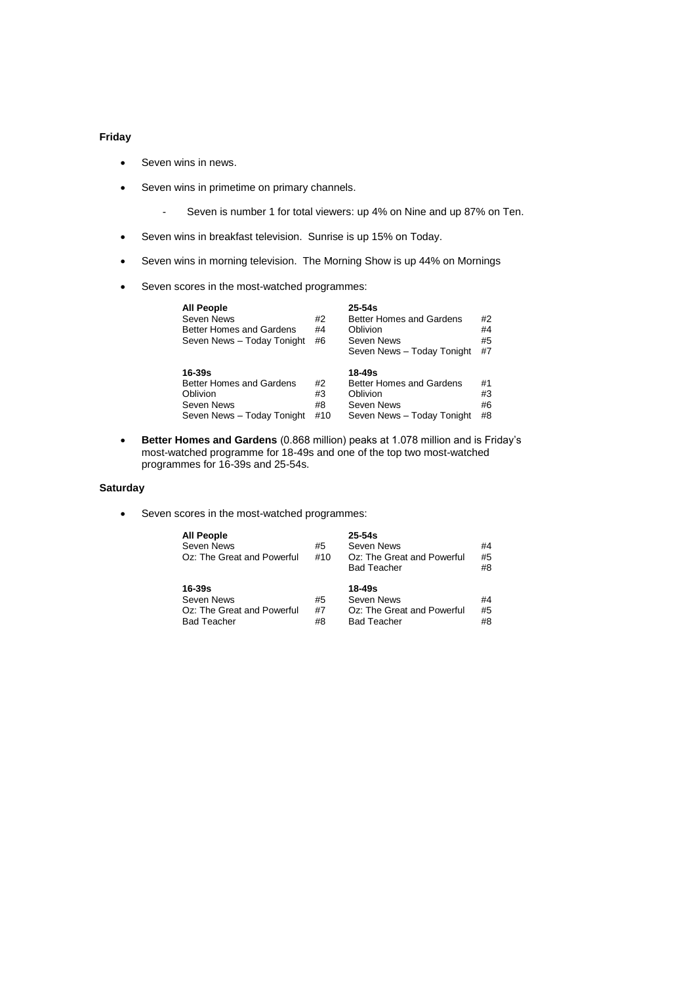# **Friday**

- Seven wins in news.
- Seven wins in primetime on primary channels.
	- Seven is number 1 for total viewers: up 4% on Nine and up 87% on Ten.
- Seven wins in breakfast television. Sunrise is up 15% on Today.
- Seven wins in morning television. The Morning Show is up 44% on Mornings
- Seven scores in the most-watched programmes:

| <b>All People</b><br>Seven News<br><b>Better Homes and Gardens</b><br>Seven News - Today Tonight | #2<br>#4<br>#6 | $25 - 54s$<br><b>Better Homes and Gardens</b><br>Oblivion<br>Seven News<br>Seven News - Today Tonight | #2<br>#4<br>#5<br>#7 |
|--------------------------------------------------------------------------------------------------|----------------|-------------------------------------------------------------------------------------------------------|----------------------|
| $16-39s$                                                                                         |                | 18-49s                                                                                                |                      |
| Better Homes and Gardens                                                                         | #2             | Better Homes and Gardens                                                                              | #1                   |
| Oblivion                                                                                         | #3             | Oblivion                                                                                              | #3                   |
| Seven News                                                                                       | #8             | Seven News                                                                                            | #6                   |
| Seven News - Today Tonight                                                                       | #10            | Seven News - Today Tonight                                                                            | #8                   |

 **Better Homes and Gardens** (0.868 million) peaks at 1.078 million and is Friday's most-watched programme for 18-49s and one of the top two most-watched programmes for 16-39s and 25-54s.

## **Saturday**

Seven scores in the most-watched programmes:

| <b>All People</b><br>Seven News<br>Oz: The Great and Powerful            | #5<br>#10      | $25 - 54s$<br>Seven News<br>Oz: The Great and Powerful<br><b>Bad Teacher</b> | #4<br>#5<br>#8 |
|--------------------------------------------------------------------------|----------------|------------------------------------------------------------------------------|----------------|
| 16-39s<br>Seven News<br>Oz: The Great and Powerful<br><b>Bad Teacher</b> | #5<br>#7<br>#8 | $18 - 49s$<br>Seven News<br>Oz: The Great and Powerful<br><b>Bad Teacher</b> | #4<br>#5<br>#8 |